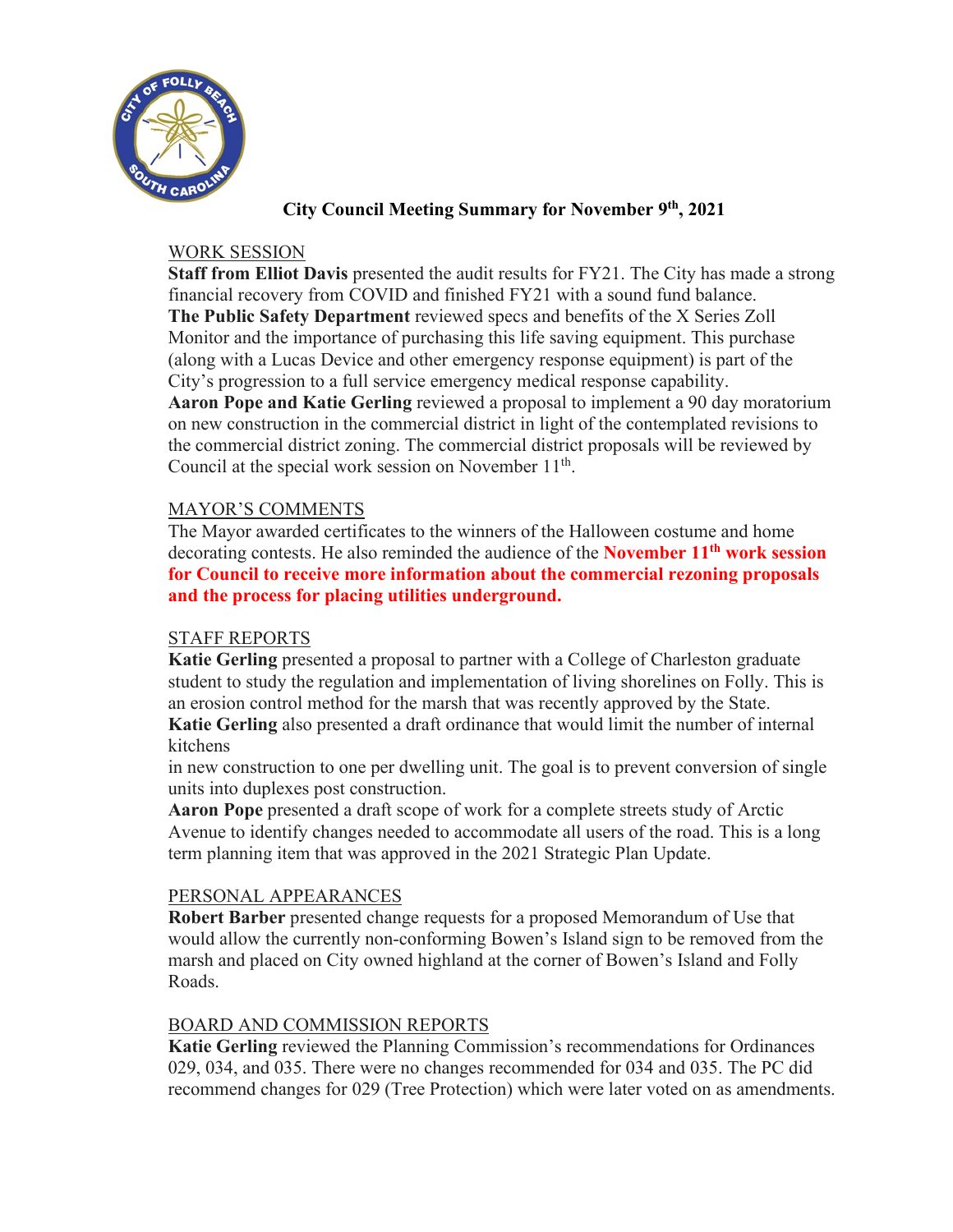

# **City Council Meeting Summary for November 9th, 2021**

## WORK SESSION

**Staff from Elliot Davis** presented the audit results for FY21. The City has made a strong financial recovery from COVID and finished FY21 with a sound fund balance. **The Public Safety Department** reviewed specs and benefits of the X Series Zoll Monitor and the importance of purchasing this life saving equipment. This purchase (along with a Lucas Device and other emergency response equipment) is part of the City's progression to a full service emergency medical response capability. **Aaron Pope and Katie Gerling** reviewed a proposal to implement a 90 day moratorium on new construction in the commercial district in light of the contemplated revisions to the commercial district zoning. The commercial district proposals will be reviewed by Council at the special work session on November  $11<sup>th</sup>$ .

### MAYOR'S COMMENTS

The Mayor awarded certificates to the winners of the Halloween costume and home decorating contests. He also reminded the audience of the **November 11th work session for Council to receive more information about the commercial rezoning proposals and the process for placing utilities underground.**

# STAFF REPORTS

**Katie Gerling** presented a proposal to partner with a College of Charleston graduate student to study the regulation and implementation of living shorelines on Folly. This is an erosion control method for the marsh that was recently approved by the State. **Katie Gerling** also presented a draft ordinance that would limit the number of internal kitchens

in new construction to one per dwelling unit. The goal is to prevent conversion of single units into duplexes post construction.

**Aaron Pope** presented a draft scope of work for a complete streets study of Arctic Avenue to identify changes needed to accommodate all users of the road. This is a long term planning item that was approved in the 2021 Strategic Plan Update.

#### PERSONAL APPEARANCES

 **Robert Barber** presented change requests for a proposed Memorandum of Use that would allow the currently non-conforming Bowen's Island sign to be removed from the marsh and placed on City owned highland at the corner of Bowen's Island and Folly Roads.

#### BOARD AND COMMISSION REPORTS

**Katie Gerling** reviewed the Planning Commission's recommendations for Ordinances 029, 034, and 035. There were no changes recommended for 034 and 035. The PC did recommend changes for 029 (Tree Protection) which were later voted on as amendments.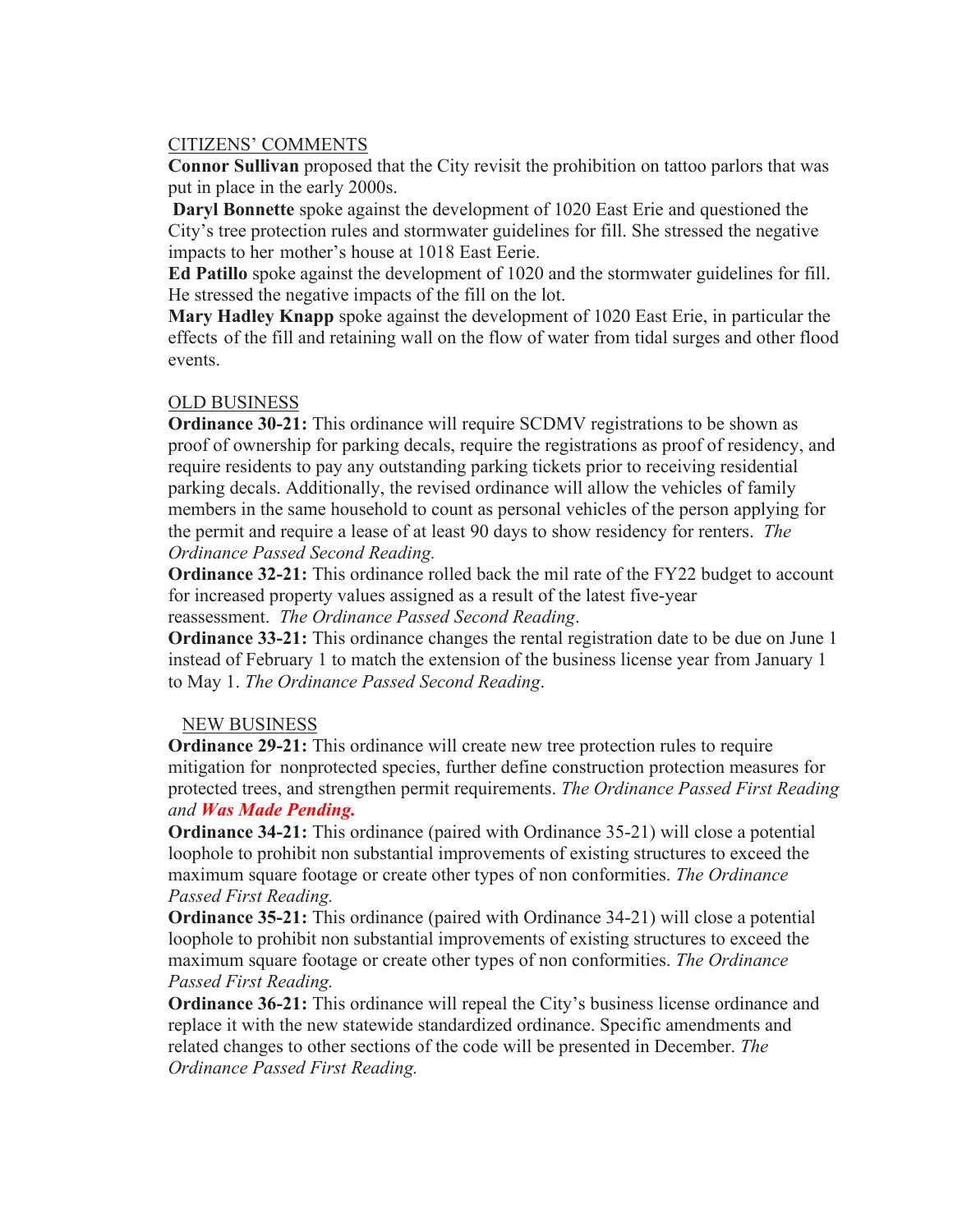## CITIZENS' COMMENTS

 **Connor Sullivan** proposed that the City revisit the prohibition on tattoo parlors that was put in place in the early 2000s.

 **Daryl Bonnette** spoke against the development of 1020 East Erie and questioned the City's tree protection rules and stormwater guidelines for fill. She stressed the negative impacts to her mother's house at 1018 East Eerie.

 **Ed Patillo** spoke against the development of 1020 and the stormwater guidelines for fill. He stressed the negative impacts of the fill on the lot.

 **Mary Hadley Knapp** spoke against the development of 1020 East Erie, in particular the effects of the fill and retaining wall on the flow of water from tidal surges and other flood events.

### OLD BUSINESS

**Ordinance 30-21:** This ordinance will require SCDMV registrations to be shown as proof of ownership for parking decals, require the registrations as proof of residency, and require residents to pay any outstanding parking tickets prior to receiving residential parking decals. Additionally, the revised ordinance will allow the vehicles of family members in the same household to count as personal vehicles of the person applying for the permit and require a lease of at least 90 days to show residency for renters. *The Ordinance Passed Second Reading.*

**Ordinance 32-21:** This ordinance rolled back the mil rate of the FY22 budget to account for increased property values assigned as a result of the latest five-year reassessment. *The Ordinance Passed Second Reading*.

**Ordinance 33-21:** This ordinance changes the rental registration date to be due on June 1 instead of February 1 to match the extension of the business license year from January 1 to May 1. *The Ordinance Passed Second Reading*.

#### NEW BUSINESS

**Ordinance 29-21:** This ordinance will create new tree protection rules to require mitigation for nonprotected species, further define construction protection measures for protected trees, and strengthen permit requirements. *The Ordinance Passed First Reading and Was Made Pending.*

**Ordinance 34-21:** This ordinance (paired with Ordinance 35-21) will close a potential loophole to prohibit non substantial improvements of existing structures to exceed the maximum square footage or create other types of non conformities. *The Ordinance Passed First Reading.*

**Ordinance 35-21:** This ordinance (paired with Ordinance 34-21) will close a potential loophole to prohibit non substantial improvements of existing structures to exceed the maximum square footage or create other types of non conformities. *The Ordinance Passed First Reading.*

**Ordinance 36-21:** This ordinance will repeal the City's business license ordinance and replace it with the new statewide standardized ordinance. Specific amendments and related changes to other sections of the code will be presented in December. *The Ordinance Passed First Reading.*